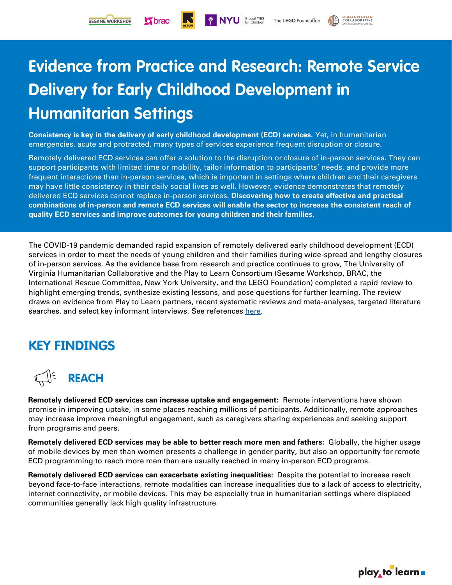**K** brac

**HUMANITARIAN** 

# **Evidence from Practice and Research: Remote Service Delivery for Early Childhood Development in Humanitarian Settings**

Global TIES<br>for Children

**Consistency is key in the delivery of early childhood development (ECD) services.** Yet, in humanitarian emergencies, acute and protracted, many types of services experience frequent disruption or closure.

Remotely delivered ECD services can offer a solution to the disruption or closure of in-person services. They can support participants with limited time or mobility, tailor information to participants' needs, and provide more frequent interactions than in-person services, which is important in settings where children and their caregivers may have little consistency in their daily social lives as well. However, evidence demonstrates that remotely delivered ECD services cannot replace in-person services. **Discovering how to create effective and practical combinations of in-person and remote ECD services will enable the sector to increase the consistent reach of quality ECD services and improve outcomes for young children and their families.** 

The COVID-19 pandemic demanded rapid expansion of remotely delivered early childhood development (ECD) services in order to meet the needs of young children and their families during wide-spread and lengthy closures of in-person services. As the evidence base from research and practice continues to grow, The University of Virginia Humanitarian Collaborative and the Play to Learn Consortium (Sesame Workshop, BRAC, the International Rescue Committee, New York University, and the LEGO Foundation) completed a rapid review to highlight emerging trends, synthesize existing lessons, and pose questions for further learning. The review draws on evidence from Play to Learn partners, recent systematic reviews and meta-analyses, targeted literature searches, and select key informant interviews. See references [here.](https://mysesameworkshop.sharepoint.com/:b:/s/InternationalSocialImpact/ESHWPtXjIe9CnrMdHV_FLKkB7noSyzCM0snG7pBycO2_Uw?e=XOSbgl)

## **KEY FINDINGS**



**Remotely delivered ECD services can increase uptake and engagement:** Remote interventions have shown promise in improving uptake, in some places reaching millions of participants. Additionally, remote approaches may increase improve meaningful engagement, such as caregivers sharing experiences and seeking support from programs and peers.

**Remotely delivered ECD services may be able to better reach more men and fathers:** Globally, the higher usage of mobile devices by men than women presents a challenge in gender parity, but also an opportunity for remote ECD programming to reach more men than are usually reached in many in-person ECD programs.

**Remotely delivered ECD services can exacerbate existing inequalities:** Despite the potential to increase reach beyond face-to-face interactions, remote modalities can increase inequalities due to a lack of access to electricity, internet connectivity, or mobile devices. This may be especially true in humanitarian settings where displaced communities generally lack high quality infrastructure.

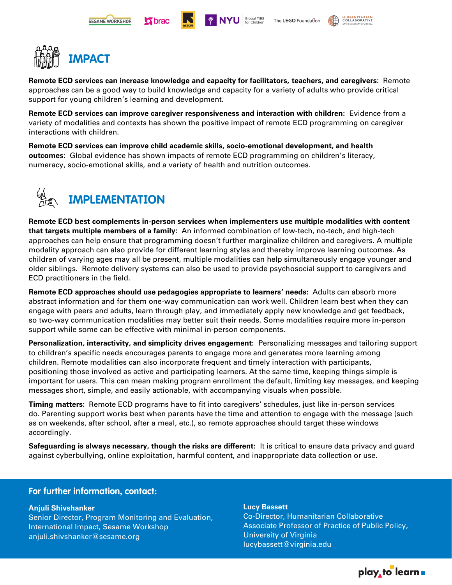









**Remote ECD services can increase knowledge and capacity for facilitators, teachers, and caregivers:** Remote approaches can be a good way to build knowledge and capacity for a variety of adults who provide critical support for young children's learning and development.

**Remote ECD services can improve caregiver responsiveness and interaction with children:** Evidence from a variety of modalities and contexts has shown the positive impact of remote ECD programming on caregiver interactions with children.

**Remote ECD services can improve child academic skills, socio-emotional development, and health outcomes:** Global evidence has shown impacts of remote ECD programming on children's literacy, numeracy, socio-emotional skills, and a variety of health and nutrition outcomes.



**Remote ECD best complements in-person services when implementers use multiple modalities with content that targets multiple members of a family:** An informed combination of low-tech, no-tech, and high-tech approaches can help ensure that programming doesn't further marginalize children and caregivers. A multiple modality approach can also provide for different learning styles and thereby improve learning outcomes. As children of varying ages may all be present, multiple modalities can help simultaneously engage younger and older siblings. Remote delivery systems can also be used to provide psychosocial support to caregivers and ECD practitioners in the field.

**Remote ECD approaches should use pedagogies appropriate to learners' needs:** Adults can absorb more abstract information and for them one-way communication can work well. Children learn best when they can engage with peers and adults, learn through play, and immediately apply new knowledge and get feedback, so two-way communication modalities may better suit their needs. Some modalities require more in-person support while some can be effective with minimal in-person components.

**Personalization, interactivity, and simplicity drives engagement:** Personalizing messages and tailoring support to children's specific needs encourages parents to engage more and generates more learning among children. Remote modalities can also incorporate frequent and timely interaction with participants, positioning those involved as active and participating learners. At the same time, keeping things simple is important for users. This can mean making program enrollment the default, limiting key messages, and keeping messages short, simple, and easily actionable, with accompanying visuals when possible.

**Timing matters:** Remote ECD programs have to fit into caregivers' schedules, just like in-person services do. Parenting support works best when parents have the time and attention to engage with the message (such as on weekends, after school, after a meal, etc.), so remote approaches should target these windows accordingly.

**Safeguarding is always necessary, though the risks are different:** It is critical to ensure data privacy and guard against cyberbullying, online exploitation, harmful content, and inappropriate data collection or use.

### **For further information, contact:**

### **Anjuli Shivshanker**

Senior Director, Program Monitoring and Evaluation, International Impact, Sesame Workshop anjuli.shivshanker@sesame.org

### **Lucy Bassett**

Co-Director, Humanitarian Collaborative Associate Professor of Practice of Public Policy, University of Virginia lucybassett@virginia.edu

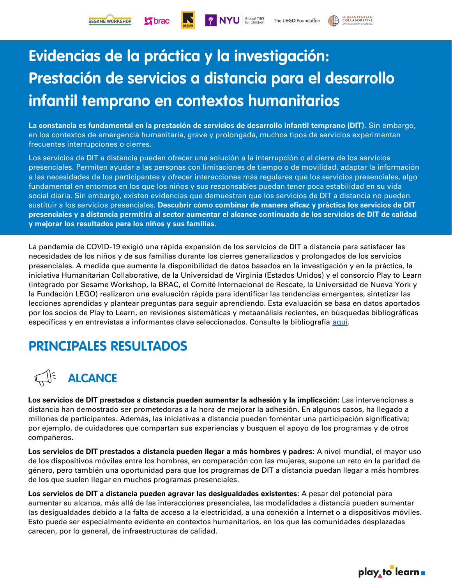Gbrac

**HUMANITARIAN** 

# **Evidencias de la práctica y la investigación: Prestación de servicios a distancia para el desarrollo infantil temprano en contextos humanitarios**

**La constancia es fundamental en la prestación de servicios de desarrollo infantil temprano (DIT).** Sin embargo, en los contextos de emergencia humanitaria, grave y prolongada, muchos tipos de servicios experimentan frecuentes interrupciones o cierres.

Los servicios de DIT a distancia pueden ofrecer una solución a la interrupción o al cierre de los servicios presenciales. Permiten ayudar a las personas con limitaciones de tiempo o de movilidad, adaptar la información a las necesidades de los participantes y ofrecer interacciones más regulares que los servicios presenciales, algo fundamental en entornos en los que los niños y sus responsables puedan tener poca estabilidad en su vida social diaria. Sin embargo, existen evidencias que demuestran que los servicios de DIT a distancia no pueden sustituir a los servicios presenciales. **Descubrir cómo combinar de manera eficaz y práctica los servicios de DIT presenciales y a distancia permitirá al sector aumentar el alcance continuado de los servicios de DIT de calidad y mejorar los resultados para los niños y sus familias.** 

La pandemia de COVID-19 exigió una rápida expansión de los servicios de DIT a distancia para satisfacer las necesidades de los niños y de sus familias durante los cierres generalizados y prolongados de los servicios presenciales. A medida que aumenta la disponibilidad de datos basados en la investigación y en la práctica, la iniciativa Humanitarian Collaborative, de la Universidad de Virginia (Estados Unidos) y el consorcio Play to Learn (integrado por Sesame Workshop, la BRAC, el Comité Internacional de Rescate, la Universidad de Nueva York y la Fundación LEGO) realizaron una evaluación rápida para identificar las tendencias emergentes, sintetizar las lecciones aprendidas y plantear preguntas para seguir aprendiendo. Esta evaluación se basa en datos aportados por los socios de Play to Learn, en revisiones sistemáticas y metaanálisis recientes, en búsquedas bibliográficas específicas y en entrevistas a informantes clave seleccionados. Consulte la bibliografía aquí.

## **PRINCIPALES RESULTADOS**



**Los servicios de DIT prestados a distancia pueden aumentar la adhesión y la implicación:** Las intervenciones a distancia han demostrado ser prometedoras a la hora de mejorar la adhesión. En algunos casos, ha llegado a millones de participantes. Además, las iniciativas a distancia pueden fomentar una participación significativa; por ejemplo, de cuidadores que compartan sus experiencias y busquen el apoyo de los programas y de otros compañeros.

**Los servicios de DIT prestados a distancia pueden llegar a más hombres y padres:** A nivel mundial, el mayor uso de los dispositivos móviles entre los hombres, en comparación con las mujeres, supone un reto en la paridad de género, pero también una oportunidad para que los programas de DIT a distancia puedan llegar a más hombres de los que suelen llegar en muchos programas presenciales.

**Los servicios de DIT a distancia pueden agravar las desigualdades existentes**: A pesar del potencial para aumentar su alcance, más allá de las interacciones presenciales, las modalidades a distancia pueden aumentar las desigualdades debido a la falta de acceso a la electricidad, a una conexión a Internet o a dispositivos móviles. Esto puede ser especialmente evidente en contextos humanitarios, en los que las comunidades desplazadas carecen, por lo general, de infraestructuras de calidad.

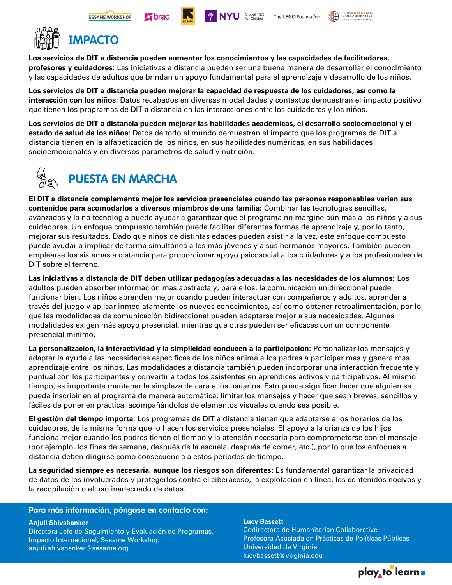









## **IMPACTO**

**Los servicios de DIT a distancia pueden aumentar los conocimientos y las capacidades de facilitadores, profesores y cuidadores:** Las iniciativas a distancia pueden ser una buena manera de desarrollar el conocimiento y las capacidades de adultos que brindan un apoyo fundamental para el aprendizaje y desarrollo de los niños.

**Los servicios de DIT a distancia pueden mejorar la capacidad de respuesta de los cuidadores, así como la interacción con los niños:** Datos recabados en diversas modalidades y contextos demuestran el impacto positivo que tienen los programas de DIT a distancia en las interacciones entre los cuidadores y los niños.

**Los servicios de DIT a distancia pueden mejorar las habilidades académicas, el desarrollo socioemocional y el estado de salud de los niños**: Datos de todo el mundo demuestran el impacto que los programas de DIT a distancia tienen en la alfabetización de los niños, en sus habilidades numéricas, en sus habilidades socioemocionales y en diversos parámetros de salud y nutrición.



**El DIT a distancia complementa mejor los servicios presenciales cuando las personas responsables varían sus contenidos para acomodarlos a diversos miembros de una familia:** Combinar las tecnologías sencillas, avanzadas y la no tecnología puede ayudar a garantizar que el programa no margine aún más a los niños y a sus cuidadores. Un enfoque compuesto también puede facilitar diferentes formas de aprendizaje y, por lo tanto, mejorar sus resultados. Dado que niños de distintas edades pueden asistir a la vez, este enfoque compuesto puede ayudar a implicar de forma simultánea a los más jóvenes y a sus hermanos mayores. También pueden emplearse los sistemas a distancia para proporcionar apoyo psicosocial a los cuidadores y a los profesionales de DIT sobre el terreno.

**Las iniciativas a distancia de DIT deben utilizar pedagogías adecuadas a las necesidades de los alumnos:** Los adultos pueden absorber información más abstracta y, para ellos, la comunicación unidireccional puede funcionar bien. Los niños aprenden mejor cuando pueden interactuar con compañeros y adultos, aprender a través del juego y aplicar inmediatamente los nuevos conocimientos, así como obtener retroalimentación, por lo que las modalidades de comunicación bidireccional pueden adaptarse mejor a sus necesidades. Algunas modalidades exigen más apoyo presencial, mientras que otras pueden ser eficaces con un componente presencial mínimo.

**La personalización, la interactividad y la simplicidad conducen a la participación:** Personalizar los mensajes y adaptar la ayuda a las necesidades específicas de los niños anima a los padres a participar más y genera más aprendizaje entre los niños. Las modalidades a distancia también pueden incorporar una interacción frecuente y puntual con los participantes y convertir a todos los asistentes en aprendices activos y participativos. Al mismo tiempo, es importante mantener la simpleza de cara a los usuarios. Esto puede significar hacer que alguien se pueda inscribir en el programa de manera automática, limitar los mensajes y hacer que sean breves, sencillos y fáciles de poner en práctica, acompañándolos de elementos visuales cuando sea posible.

**El gestión del tiempo importa:** Los programas de DIT a distancia tienen que adaptarse a los horarios de los cuidadores, de la misma forma que lo hacen los servicios presenciales. El apoyo a la crianza de los hijos funciona mejor cuando los padres tienen el tiempo y la atención necesaria para comprometerse con el mensaje (por ejemplo, los fines de semana, después de la escuela, después de comer, etc.), por lo que los enfoques a distancia deben dirigirse como consecuencia a estos periodos de tiempo.

**La seguridad siempre es necesaria, aunque los riesgos son diferentes**: Es fundamental garantizar la privacidad de datos de los involucrados y protegerlos contra el ciberacoso, la explotación en línea, los contenidos nocivos y la recopilación o el uso inadecuado de datos.

### **Para más información, póngase en contacto con:**

**Anjuli Shivshanker** Directora Jefe de Seguimiento y Evaluación de Programas, Impacto Internacional, Sesame Workshop anjuli.shivshanker@sesame.org

#### **Lucy Bassett**

Codirectora de Humanitarian Collaborative Profesora Asociada en Prácticas de Políticas Públicas Universidad de Virginia lucybassett@virginia.edu

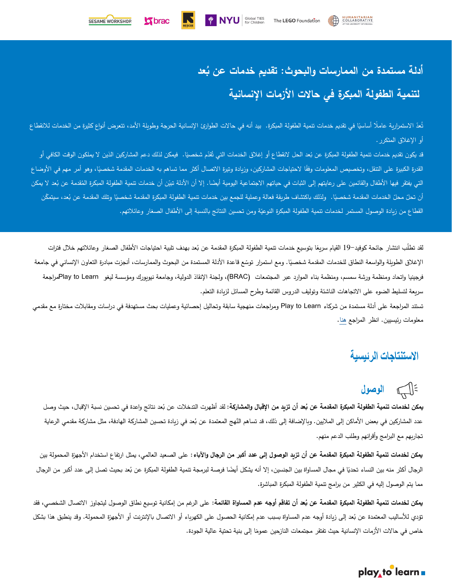

 $\boldsymbol{\mathsf{S}}$  brac

## **ُ أدلة مستمدة من الممارسات والبحوث: عد تقديم خدمات عن ب لتنمية الطفولة المبكرة في حالت الزمات النسانية**

تُعدّ الاستمرارية عاملًا أساسيًا في تقديم خدمات تنمية الطفولة المبنوع. حالات الطوارئ الإنسانية الحرجة وطويلة الأمد، تتعرض أنواع كثيرة من الخدمات للانقطاع أو الغلق المتكرر.

**EXAMPLE SOLUST PROPERTY S** Global TIES

قد يكون تقديم خدمات تنمية الطفولة المبكرة عن بُعد الحل لانقطاع أو إغلاق الخدمات التي تُقدّم شخصيًا . فيما وكن الخدم المشاركين الذين لا يملكون الوقت الكافي أو القدرة الكبيرة على التنقل، وتخصيص المعلومات وفقًا لاحتياجات المشاركين، وزيادة وتيرة الاتصال أكثر مما تساهم به الخدمات المقدمة شخصيًا، وهو أمر مهم في الأوضاع التي يفتقر فيها الأطفال والقائمين على رعايتهم إلى الثبات في حياتهم الاجتماعية اليضاء. إلا أن الأدلة تبيّن أن خدمات تنمية الطفولة المبكرة المُقدمة عن بُعد لا يمكن أن تحلّ محلّ الخدمات المقدمة شخصيًا. ولذلك باكتشاف طريقة فعالة وعملية للجمع بين خدمات تنمية الطفولة المقدمة عن بُشر المقدمة عن بُعد، سيتمكّن القطاع من زيادة الوصول المستمر لخدمات تنمية الطفولة المبكرة النوعيّة ومن تحسين النتائج بالنسبة إلى الأطفال الصغار وعائلاتهم.

لقد تطلب انتشار جائحة كوفيد–19 القيام سريعًا بتوسيع خدمات تتمية الطفولة المبكرة المقدمة عن بُعد بهدف تلبية احتياجات الأطفال الصغار وعائلاتهم خلال فترات الإغلاق الطويلة والواسعة النطاق للخدمات المقدمة شخصيًا. ومع استمرار توسّع قاعدة الأدلة المستمدة من البحوث والممارسات، أنجزت مبادرة التعاون الإنساني في جامعة فرجينيا واتحاد ومنظمة ورشة سمسم، ومنظمة بناء الموارد عبر المجتمعات (BRAC(، ولجنة النقاذ الدولية، وجامعة نيويورك ومؤسسة ليغو Learn to Playمراجعة سريعة لتسليط الضوء على التجاهات الناشئة وتوليف الدروس القائمة وطرح المسائل لزيادة التعلم.

تستند المراجعة على أدلة مستمدة من شركاء Learn to Play ومراجعات منهجية سابقة وتحاليل إحصائية وعمليات بحث مستهدفة في دراسات ومقابلت مختارة مع مقدمي معلومات رئيسيين. انظر المراجع هنا.

## الاستنتاجات الرئيسية

# = [ سم الوصول

**يمكن لخدمات تنمية الطفولة المبكرة المقدمة عن بُعد أن تزيد من الإقبال والمشاركة:** لقد أظهرت التدخلات عن بُعد نتائج واعدة في تحسين نسبة الإقبال، حيث وصل عدد المشاركين في بعض الأماكن إلى الملايين. وبالإضافة إلى ذلك، قد تساهم النُهج المعتمدة عن بُعد في زيادة تحسين المشاركة الهادفة، مثل مشاركة مقدمي الرعاية تجاربهم مع البرامج وأقرانهم وطلب الدعم منهم.

**يمكن لخدمات تنمية الطفولة المبكرة المقدمة عن أن تزيد الوصول إلى عدد أكبر من الرجال والباء:** على الصعيد العالمي، يمثل ارتفاع استخدام الجهزة المحمولة بين الرجال أكثر منه بين النساء تحديًا في مجال المساواة بين الجنسين، إلا أنه يشكل أيضًا فرصة لبرمجة تنمية الملبكرة عن بُعد بحيث تصل إلى عدد أكبر من الرجال مما يتم الوصول إليه في الكثير من برامج تنمية الطفولة المبكرة المباشرة.

**يمكن لخدمات تنمية الطفولة المبكرة المقدمة عن بُعد أن تفاقم أوجه عدم المساواة القائمة:** على الرغم من إمكانية توسيع نطاق الوصول ليتجاوز الاتصال الشخصـي، فقد تؤدي للأساليب المعتمدة عن بُعد إلى زيادة أوجه عدم المساواة بسبب عدم إمكانية الحصول على الكهرباء أو الإنترنت أو الأجهزة المحمولة. وقد ينطبق هذا بشكل خاص في حالات الأزمات الإنسانية حيث تفتقر مجتمعات النازحين عمومًا إلى بنية تحتية عالية الجودة.<br>-

## play to learn .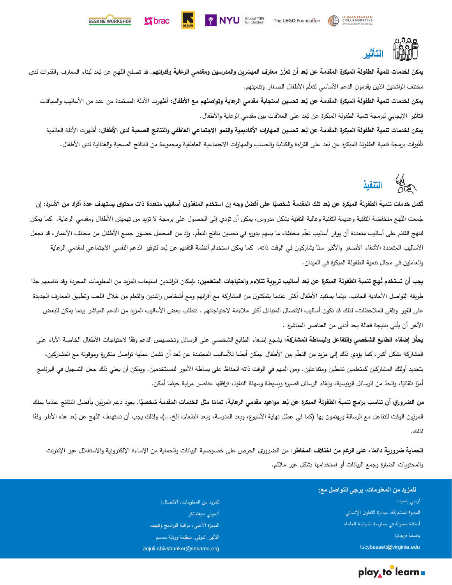

<mark>يمكن لخدمات تنمية الطفولة المبكرة المقدمة عن بُعد أن تعزّز معارف الميسّرين والمدرسين ومقدمي الرعاية وقدراتهم. قد تصلح النُهج عن بُعد لبناء المعارف والقدرات لدى</mark> مختلف الراشدين الذين يقدمون الدعم الأساسي لتعلّم الأطفال الصغار وتتميتهم.

SESAME WORKSHOP

 **brac** 

يمكن لخدمات تنمية الطفولة المبكرة المقدمة عن بُعد تحسين استجابة مقدمى الرعاية وتواصلهم مع الأطفال: أظهرت الأدلة المستمدة من عدد من الأساليب والسياقات التأثير الإيجابي لبرمجة تنمية الطفولة المبكرة عن بُعد على العلاقات بين مقدمي الرعاية والأطفال.<br>.

**PINYU** Global TIES

يمكن لخدمات تنمية الطفولة المبكرة المقدمة عن بُعد تحسين المهارات الأكاديمية والنمو الاجتماعي العاطفي والنتائج الصحية لدى الأطفال: أظهرت الأدلة العالمية تأثيرات برمجة تنمية الطفولة المبكرة عن بُعد على القراءة والكتابة والحساب والمهارات الاجتماعية العاطفية ومجموعة من النتائج الصحية والغذائية لدى الأطفال.



تُكمل خدمات تنمية الطفولة المبكرة عن بُعد تلك المقدمة شخصيًا على أفضل وجه إن استخدم المنفذون أساليب متعددة ذات محتوى يستهدف عدة أفراد من الأسرة: إن جُمعت النُهج منخفضة التقنية وعليمة التقنية وعالية التقنية بشكل مدروس، يمكن أن تؤدي إلى الحصول على برمجة لا تزيد من تهميش الأطفال ومقدمي الرعاية. كما يمكن للنهج القائم على أساليب متعددة أن يوفر أساليب تعلم مختلفة، ما يسهم بدوره في تحسين نتائج التعلم. وإذ من المحتمل حضور جميع الأطفال من مختلف الأعمار ، قد تجعل الأساليب المتعددة الأشقاء الأصغر والأكبر سنًا يشاركون في الوقت ذاته. كما يمكن استخدام أنظمة النقديم عن بُعد لتوفير الدعم النفسي الاجتماعي لمقدمي الرعاية والعاملين في مجال تنمية الطفولة المبكرة في الميدان.

**يجب** أ**ن تستخدم نُهج تنمية الطفولة المبكرة عن بُعد أساليب تربوية تتلاءم واحتياجات المتعلون: بإمكان الراشدين استيعاب المزيد من المعلومات المجردة وقد تتاسبهم جدًا** طريقة التواصل الأحادية الجانب. بينما يستفيد الأطفال أكثر عندما يتمكنون من المشاركة مع أقرانهم ومع أشخاص راشدين والتعلم من خلال اللعب وتطبيق المعارف الجديدة على الفور وتلقي الملحظات، لذلك قد تكون أساليب التصال المتبادل أكثر ملءمة لحتياجاتهم . تتطلب بعض الساليب المزيد من الدعم المباشر بينما يمكن للبعض الخر أن يأتي بنتيجة فعالة بحد أدنى من العناصر المباشرة .

**يحفز إضفاء الطابع الشخصي والتفاعل والبساطة المشاركة: يشجع إضفاء الطابع الشخصي على الرسائل وتخصيص الدعم وفقًا لاحتياجات الأطفال الخاصة الأباء على** المشاركة بشكل أكبر ، كما يؤدي ذلك إلى مزيد من التعلم بين الأطفال .يمكن أيضًا للأساليب المعتمدة عن بُعد أن تشمل عملية تواصل متكررة وموقوتة مع المشاركين، بتحديد أولئك المشاركين كمتعلمين نشطين ومتفاعلين. ومن المهم في الوقت ذاته الحفاظ على بساطة المور للمستخدمين. ويمكن أن يعني ذلك جعل التسجيل في البرنامج أمرًا تلقائيًا، والحدّ من الرسائل الرئيسية، وإبقاء الرسائل قصيرة وبسيطة وسهلة التتفيذ، ترافقها عناصر مرئية حيثما أمكن.<br>.

من الضروري أن تناسب برامج تنمية الطفولة المبكرة عن بُعد مواعيد مقدمي الرعاية، تمامًا مثل الخدمات المقدمة شخصيًا. يعود دعم المربَين بأفضل النتائج عندما يملك المربّون الوقت للتفاعل مع الرسالة ويهتمون بها (كما في عطل نهاية الأسبوع، وبعد المدرسة، وبعد الطعام، إلخ…)، ولذلك يجب أن تستهدف النُهج عن بُعد هذه الأطر وفقًا لذلك.

الحماية ضرورية دائمًا، على الرغم من اختلاف المخاطر : من الضروري الحرص على خصوصية البيانات والحماية من الإساءة الإلكترونية والاستغلال عبر الإنترنت والمحتويات الضارة وجمع البيانات أو استخدامها بشكل غير ملئم.

> **للمزيد من المعلومات، يرجى التواصل مع:** لوسي باسيت المديرة المشاركة، مبادرة التعاون النساني أستاذة معاونة في ممارسة السياسة العامة، جامعة فرجينيا lucybassett@virginia.edu

للمزيد من المعلومات، التصال: أنجولي جيفشانكر المديرة العلى، مراقبة البرنامج وتقييمه التأثير الدولي، منظمة ورشة سمسم anjuli.shivshanker@sesame.org

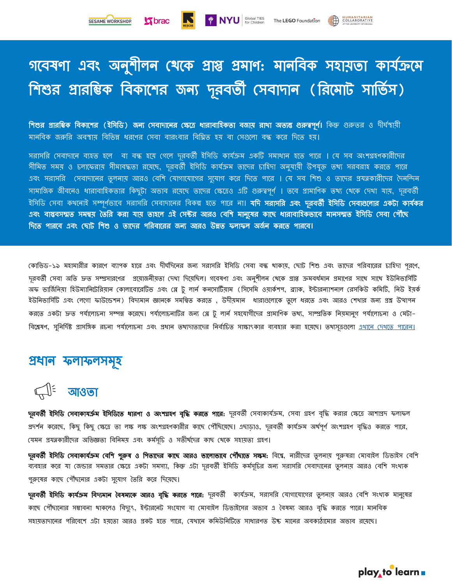Stbrac

# গবেষণা এবং অনুশীলন থেকে প্রাপ্ত প্রমাণ: মানবিক সহায়তা কার্যক্রমে শিশুর প্রারম্ভিক বিকাশের জন্য দূরবর্তী সেবাদান (রিমোট সার্ভিস)

**শিশুর প্রারম্ভিক বিকাশের (ইসিডি) জন্য সেবাদানের ক্ষেত্রে ধারাবাহিকতা বজায় রাখা অত্যন্ত গুরুত্বপূর্ণ।** কিন্তু গুরুত্তর ও দীর্ঘস্থায়ী মানবিক জরুরি অবস্থায় বিভিন্ন ধরণের সেবা বারংবার বিঘ্নিত হয় বা সেগুলো বন্ধ করে দিতে হয়।

সরাসরি সেবাদানে ব্যহত হলে বা বন্ধ হয়ে গেলে দূরবর্তী ইসিডি কার্যক্রম একটি সমাধান হতে পারে । যে সব অংশগ্রহণকারীদের সীমিত সময় ও চলাফেরায় সীমাবদ্ধতা রয়েছে, দূরবর্তী ইসিডি কার্যক্রম তাদের চাহিদা অনুযায়ী উপযুক্ত তথ্য সরবরাহ করতে পারে এবং সরাসরি সেবাদানের তুলনায় আরও বেশি যোগাযোগের সুযোগ করে দিতে পারে । যে সব শিশু ও তাদের প্রযত্নকারীদের দৈনন্দিন সামাজিক জীবনেও ধারাবাহিকতার কিছুটা অভাব রয়েছে তাদের ক্ষেত্রেও এটি গুরুত্বপূর্ণ । তবে প্রামাণিক তথ্য থেকে দেখা যায়, দূরবর্তী ইসিডি সেবা কথনোই সম্পূর্ণভাবে সরাসরি সেবাদানের বিকল্প হতে পারে না। **যদি সরাসরি এবং দূরবর্তী ইসিডি সেবাগুলোর একটা কার্যকর** এবং বাস্তবসম্মত সমন্বয় তৈরি করা যায় তাহলে এই সেক্টর আরও বেশি মানুষের কাছে ধারাবাহিকভাবে মানসম্মত ইসিডি সেবা পৌঁছে বদবত পারবে এেং থোট বশশ ও তাবদর পবরোবরর জনয আরও উনত েলােল অজয ন েরবত পারবে**।** 

কোভিড–১৯ মহামারীর কারণে ব্যাপক হারে এবং দীর্ঘদিনের জন্য সরাসরি ইসিডি সেবা বন্ধ থাকায়, ছোট শিশু এবং তাদের পরিবারের চাহিদা পূরণে, দূরবর্তী সেবা অতি দ্রুত সম্প্রসারণের প্রয়োজনীয়তা দেথা দিয়েছিল। গবেষণা এবং অনুশীলন থেকে প্রাপ্ত ক্রমবর্ধমান প্রমাণের সাথে সাথে ইউনিভার্সিটি অফ ভার্জিনিয়া হিউম্যানিটেরিয়ান কোলাবোরেটিভ এবং প্লে টু লার্ন কনসোর্টিয়াম (সিসেমি ওয়ার্কশপ, ব্র্যাক, ইন্টারন্যাশনাল রেসকিউ কমিটি, নিউ ইয়র্ক ইউনিভার্সিটি এবং লেগো ফাউন্ডেশন) বিদ্যমান জ্ঞানকে সমন্বিত করতে , উদীয়মান ধারাগুলোকে তুলে ধরতে এবং আরও শেখার জন্য প্রশ্ন উত্থাপন করতে একটা দ্রুত পর্যালোচনা সম্পন্ন করেছে। পর্যালোচনাটির জন্য গ্লে টু লার্ন সহযোগীদের প্রামাণিক তথ্য, সাম্প্রতিক নিয়মানুগ পর্যালোচনা ও মেটা– বিশ্লেষণ, সুনির্দিষ্ট প্রাসঙ্গিক রচনা পর্যালোচনা এবং প্রধান তথ্যদাতালের নির্বাচিত সাক্ষাংকার বরা হব্যেছে। তথ্যসূত্রগুলো <u>এথানে দেখতে পারেন।</u>

### প্ৰধান ফলাফলসমূহ

ন্ম<sup>=</sup> আওতা

দূরবর্তী ইসিডি সেবাকাযর্ক্রম ইসিডিতে ধারণা ও অংশগ্রহণ বৃদ্ধি করতে পারে: দূরবর্তী সেবাকার্যক্রম, সেবা গ্রহণ বৃদ্ধি করার ক্ষেত্রে আশাপ্রদ ফলাফল প্রদর্শন করেছে, কিছু কিছু ক্ষেত্রে তা লক্ষ লক্ষ অংশগ্রহণকারীর কাছে পৌঁছিয়েছে। এছাডাও, দূরবর্তী কার্যক্রম অর্থপূর্ণ অংশগ্রহণ বৃদ্ধিও করতে পারে, যেমন প্রযন্নকারীদের অভিজ্ঞতা বিনিময় এবং কর্মসূচি ও সতীর্থদের কাছ থেকে সহায়তা গ্রহণ।

দূরবর্তী ইসিডি সেবাকার্যক্রম বেশি পুরুষ ও শিতাদের কাছে আরও ভালোভাবে পৌঁঘাতে সক্ষম: বিশ্বে, নারীদের তুলনায় পুরুষরা মোবাইল ডিভাইস বেশি ব্যবহার করে যা জেন্ডার সমতার ক্ষেত্রে একটা সমস্যা, কিন্তু এটা দূরবর্তী ইসিডি কর্মসূচির জন্য সরাসরি সেবাদানের তুলনায় আরও বেশি সংখ্যক পুরুষের কাছে পৌঁছনোর একটা সুযোগ তৈরি করে দিয়েছে।

দূরবর্**তী ইসিডি কার্যক্রম বিদ্যমান বৈষম্যকে আরও বৃদ্ধি করতে পারে:** দূরবর্তী কার্যক্রম, সরাসরি যোগাযোগের তুলনায় আরও বেশি সংখ্যক মানুষের কাছে পৌঁছানোর সম্ভাবনা থাকলেও বিদ্যুৎ, ইন্টারনেট সংযোগ বা মোবাইল ডিভাইসের অভাব এ বৈষম্য আরও বৃদ্ধি করতে পারে। মানবিক সহায়তাদানের পরিবেশে এটা হয়তো আরও প্রকট হতে পারে, যেখানে কমিউনিটিতে সাধারণত উচ্চ মানের অবকাঠামোর অভাব রয়েছে।